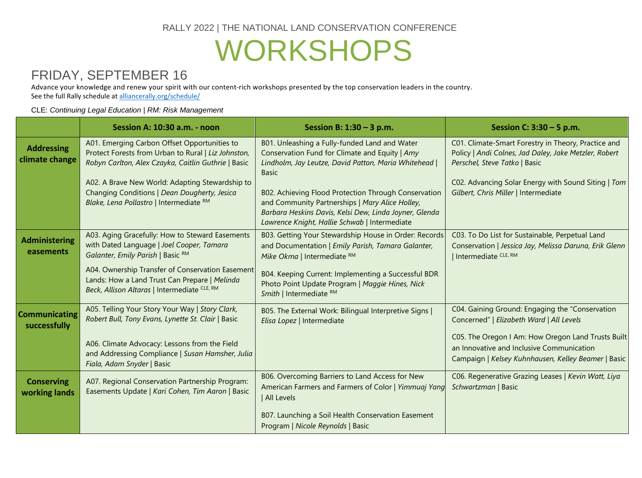### RALLY 2022 | THE NATIONAL LAND CONSERVATION CONFERENCE

## WORKSHOPS

## FRIDAY, SEPTEMBER 16

Advance your knowledge and renew your spirit with our content-rich workshops presented by the top conservation leaders in the country. See the full Rally schedule at [alliancerally.org/schedule/](http://alliancerally.org/schedule/)

#### CLE: *Continuing Legal Education* | *RM: Risk Management*

|                                      | Session A: 10:30 a.m. - noon                                                                                                                                                                                                                                                                             | Session B: $1:30 - 3$ p.m.                                                                                                                                                                                                                                                                                                                                                                     | Session C: $3:30 - 5$ p.m.                                                                                                                                                                                                                            |
|--------------------------------------|----------------------------------------------------------------------------------------------------------------------------------------------------------------------------------------------------------------------------------------------------------------------------------------------------------|------------------------------------------------------------------------------------------------------------------------------------------------------------------------------------------------------------------------------------------------------------------------------------------------------------------------------------------------------------------------------------------------|-------------------------------------------------------------------------------------------------------------------------------------------------------------------------------------------------------------------------------------------------------|
| <b>Addressing</b><br>climate change  | A01. Emerging Carbon Offset Opportunities to<br>Protect Forests from Urban to Rural   Liz Johnston,<br>Robyn Carlton, Alex Czayka, Caitlin Guthrie   Basic<br>A02. A Brave New World: Adapting Stewardship to<br>Changing Conditions   Dean Dougherty, Jesica<br>Blake, Lena Pollastro   Intermediate RM | B01. Unleashing a Fully-funded Land and Water<br>Conservation Fund for Climate and Equity   Amy<br>Lindholm, Jay Leutze, David Patton, Maria Whitehead  <br><b>Basic</b><br>B02. Achieving Flood Protection Through Conservation<br>and Community Partnerships   Mary Alice Holley,<br>Barbara Heskins Davis, Kelsi Dew, Linda Joyner, Glenda<br>Lawrence Knight, Hallie Schwab   Intermediate | C01. Climate-Smart Forestry in Theory, Practice and<br>Policy   Andi Colnes, Jad Daley, Jake Metzler, Robert<br>Perschel, Steve Tatko   Basic<br>C02. Advancing Solar Energy with Sound Siting   Tom<br>Gilbert, Chris Miller   Intermediate          |
| <b>Administering</b><br>easements    | A03. Aging Gracefully: How to Steward Easements<br>with Dated Language   Joel Cooper, Tamara<br>Galanter, Emily Parish   Basic RM<br>A04. Ownership Transfer of Conservation Easement<br>Lands: How a Land Trust Can Prepare   Melinda<br>Beck, Allison Altaras   Intermediate CLE, RM                   | B03. Getting Your Stewardship House in Order: Records<br>and Documentation   Emily Parish, Tamara Galanter,<br>Mike Okma   Intermediate RM<br>B04. Keeping Current: Implementing a Successful BDR<br>Photo Point Update Program   Maggie Hines, Nick<br>Smith   Intermediate RM                                                                                                                | C03. To Do List for Sustainable, Perpetual Land<br>Conservation   Jessica Jay, Melissa Daruna, Erik Glenn<br>Intermediate CLE, RM                                                                                                                     |
| <b>Communicating</b><br>successfully | A05. Telling Your Story Your Way   Story Clark,<br>Robert Bull, Tony Evans, Lynette St. Clair   Basic<br>A06. Climate Advocacy: Lessons from the Field<br>and Addressing Compliance   Susan Hamsher, Julia<br>Fiala, Adam Snyder   Basic                                                                 | B05. The External Work: Bilingual Interpretive Signs  <br>Elisa Lopez   Intermediate                                                                                                                                                                                                                                                                                                           | C04. Gaining Ground: Engaging the "Conservation<br>Concerned"   Elizabeth Ward   All Levels<br>C05. The Oregon I Am: How Oregon Land Trusts Built<br>an Innovative and Inclusive Communication<br>Campaign   Kelsey Kuhnhausen, Kelley Beamer   Basic |
| <b>Conserving</b><br>working lands   | A07. Regional Conservation Partnership Program:<br>Easements Update   Kari Cohen, Tim Aaron   Basic                                                                                                                                                                                                      | B06. Overcoming Barriers to Land Access for New<br>American Farmers and Farmers of Color   Yimmuaj Yang<br><b>All Levels</b><br>B07. Launching a Soil Health Conservation Easement<br>Program   Nicole Reynolds   Basic                                                                                                                                                                        | C06. Regenerative Grazing Leases   Kevin Watt, Liya<br>Schwartzman   Basic                                                                                                                                                                            |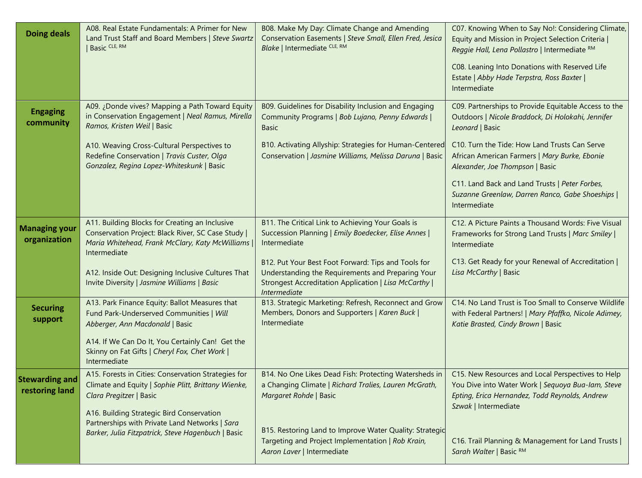| <b>Doing deals</b>                      | A08. Real Estate Fundamentals: A Primer for New<br>Land Trust Staff and Board Members   Steve Swartz<br>Basic CLE, RM                                                   | B08. Make My Day: Climate Change and Amending<br>Conservation Easements   Steve Small, Ellen Fred, Jesica<br>Blake   Intermediate CLE, RM                                         | C07. Knowing When to Say No!: Considering Climate,<br>Equity and Mission in Project Selection Criteria  <br>Reggie Hall, Lena Pollastro   Intermediate RM                        |
|-----------------------------------------|-------------------------------------------------------------------------------------------------------------------------------------------------------------------------|-----------------------------------------------------------------------------------------------------------------------------------------------------------------------------------|----------------------------------------------------------------------------------------------------------------------------------------------------------------------------------|
|                                         |                                                                                                                                                                         |                                                                                                                                                                                   | C08. Leaning Into Donations with Reserved Life<br>Estate   Abby Hade Terpstra, Ross Baxter  <br>Intermediate                                                                     |
| <b>Engaging</b><br>community            | A09. ¿Donde vives? Mapping a Path Toward Equity<br>in Conservation Engagement   Neal Ramus, Mirella<br>Ramos, Kristen Weil   Basic                                      | B09. Guidelines for Disability Inclusion and Engaging<br>Community Programs   Bob Lujano, Penny Edwards  <br><b>Basic</b>                                                         | C09. Partnerships to Provide Equitable Access to the<br>Outdoors   Nicole Braddock, Di Holokahi, Jennifer<br>Leonard   Basic                                                     |
|                                         | A10. Weaving Cross-Cultural Perspectives to<br>Redefine Conservation   Travis Custer, Olga<br>Gonzalez, Regina Lopez-Whiteskunk   Basic                                 | B10. Activating Allyship: Strategies for Human-Centered<br>Conservation   Jasmine Williams, Melissa Daruna   Basic                                                                | C10. Turn the Tide: How Land Trusts Can Serve<br>African American Farmers   Mary Burke, Ebonie<br>Alexander, Joe Thompson   Basic                                                |
|                                         |                                                                                                                                                                         |                                                                                                                                                                                   | C11. Land Back and Land Trusts   Peter Forbes,<br>Suzanne Greenlaw, Darren Ranco, Gabe Shoeships  <br>Intermediate                                                               |
| <b>Managing your</b><br>organization    | A11. Building Blocks for Creating an Inclusive<br>Conservation Project: Black River, SC Case Study  <br>Maria Whitehead, Frank McClary, Katy McWilliams<br>Intermediate | B11. The Critical Link to Achieving Your Goals is<br>Succession Planning   Emily Boedecker, Elise Annes  <br>Intermediate                                                         | C12. A Picture Paints a Thousand Words: Five Visual<br>Frameworks for Strong Land Trusts   Marc Smiley  <br>Intermediate                                                         |
|                                         | A12. Inside Out: Designing Inclusive Cultures That<br>Invite Diversity   Jasmine Williams   Basic                                                                       | B12. Put Your Best Foot Forward: Tips and Tools for<br>Understanding the Requirements and Preparing Your<br>Strongest Accreditation Application   Lisa McCarthy  <br>Intermediate | C13. Get Ready for your Renewal of Accreditation  <br>Lisa McCarthy   Basic                                                                                                      |
| <b>Securing</b><br>support              | A13. Park Finance Equity: Ballot Measures that<br>Fund Park-Underserved Communities   Will<br>Abberger, Ann Macdonald   Basic                                           | B13. Strategic Marketing: Refresh, Reconnect and Grow<br>Members, Donors and Supporters   Karen Buck  <br>Intermediate                                                            | C14. No Land Trust is Too Small to Conserve Wildlife<br>with Federal Partners!   Mary Pfaffko, Nicole Adimey,<br>Katie Brasted, Cindy Brown   Basic                              |
|                                         | A14. If We Can Do It, You Certainly Can! Get the<br>Skinny on Fat Gifts   Cheryl Fox, Chet Work  <br>Intermediate                                                       |                                                                                                                                                                                   |                                                                                                                                                                                  |
| <b>Stewarding and</b><br>restoring land | A15. Forests in Cities: Conservation Strategies for<br>Climate and Equity   Sophie Plitt, Brittany Wienke,<br>Clara Pregitzer   Basic                                   | B14. No One Likes Dead Fish: Protecting Watersheds in<br>a Changing Climate   Richard Tralies, Lauren McGrath,<br>Margaret Rohde   Basic                                          | C15. New Resources and Local Perspectives to Help<br>You Dive into Water Work   Sequoya Bua-lam, Steve<br>Epting, Erica Hernandez, Todd Reynolds, Andrew<br>Szwak   Intermediate |
|                                         | A16. Building Strategic Bird Conservation<br>Partnerships with Private Land Networks   Sara<br>Barker, Julia Fitzpatrick, Steve Hagenbuch   Basic                       | B15. Restoring Land to Improve Water Quality: Strategic<br>Targeting and Project Implementation   Rob Krain,<br>Aaron Laver   Intermediate                                        | C16. Trail Planning & Management for Land Trusts  <br>Sarah Walter   Basic RM                                                                                                    |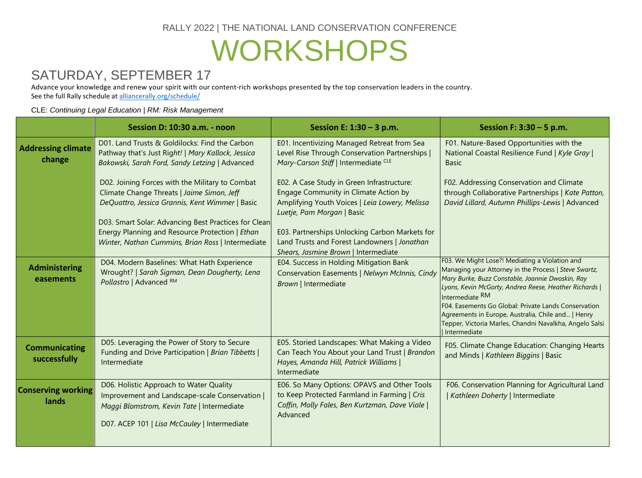RALLY 2022 | THE NATIONAL LAND CONSERVATION CONFERENCE

# WORKSHOPS

## SATURDAY, SEPTEMBER 17

Advance your knowledge and renew your spirit with our content-rich workshops presented by the top conservation leaders in the country. See the full Rally schedule at [alliancerally.org/schedule/](http://alliancerally.org/schedule/)

#### CLE: *Continuing Legal Education* | *RM: Risk Management*

|                                      | Session D: 10:30 a.m. - noon                                                                                                                                                                                                                                                                                     | Session E: $1:30 - 3$ p.m.                                                                                                                                                                                                                                                                                    | Session F: $3:30 - 5$ p.m.                                                                                                                                                                                                                                                                                                                                                                                                        |
|--------------------------------------|------------------------------------------------------------------------------------------------------------------------------------------------------------------------------------------------------------------------------------------------------------------------------------------------------------------|---------------------------------------------------------------------------------------------------------------------------------------------------------------------------------------------------------------------------------------------------------------------------------------------------------------|-----------------------------------------------------------------------------------------------------------------------------------------------------------------------------------------------------------------------------------------------------------------------------------------------------------------------------------------------------------------------------------------------------------------------------------|
| <b>Addressing climate</b><br>change  | D01. Land Trusts & Goldilocks: Find the Carbon<br>Pathway that's Just Right!   Mary Kallock, Jessica<br>Bakowski, Sarah Ford, Sandy Letzing   Advanced                                                                                                                                                           | E01. Incentivizing Managed Retreat from Sea<br>Level Rise Through Conservation Partnerships  <br>Mary-Carson Stiff   Intermediate CLE                                                                                                                                                                         | F01. Nature-Based Opportunities with the<br>National Coastal Resilience Fund   Kyle Gray  <br><b>Basic</b>                                                                                                                                                                                                                                                                                                                        |
|                                      | D02. Joining Forces with the Military to Combat<br>Climate Change Threats   Jaime Simon, Jeff<br>DeQuattro, Jessica Grannis, Kent Wimmer   Basic<br>D03. Smart Solar: Advancing Best Practices for Clean<br>Energy Planning and Resource Protection   Ethan<br>Winter, Nathan Cummins, Brian Ross   Intermediate | E02. A Case Study in Green Infrastructure:<br>Engage Community in Climate Action by<br>Amplifying Youth Voices   Leia Lowery, Melissa<br>Luetje, Pam Morgan   Basic<br>E03. Partnerships Unlocking Carbon Markets for<br>Land Trusts and Forest Landowners   Jonathan<br>Shears, Jasmine Brown   Intermediate | F02. Addressing Conservation and Climate<br>through Collaborative Partnerships   Kate Patton,<br>David Lillard, Autumn Phillips-Lewis   Advanced                                                                                                                                                                                                                                                                                  |
| <b>Administering</b><br>easements    | D04. Modern Baselines: What Hath Experience<br>Wrought?   Sarah Sigman, Dean Dougherty, Lena<br>Pollastro   Advanced RM                                                                                                                                                                                          | E04. Success in Holding Mitigation Bank<br>Conservation Easements   Nelwyn McInnis, Cindy<br>Brown   Intermediate                                                                                                                                                                                             | F03. We Might Lose?! Mediating a Violation and<br>Managing your Attorney in the Process   Steve Swartz,<br>Mary Burke, Buzz Constable, Joannie Dwoskin, Ray<br>Lyons, Kevin McGorty, Andrea Reese, Heather Richards  <br>Intermediate RM<br>F04. Easements Go Global: Private Lands Conservation<br>Agreements in Europe, Australia, Chile and   Henry<br>Tepper, Victoria Marles, Chandni Navalkha, Angelo Salsi<br>Intermediate |
| <b>Communicating</b><br>successfully | D05. Leveraging the Power of Story to Secure<br>Funding and Drive Participation   Brian Tibbetts  <br>Intermediate                                                                                                                                                                                               | E05. Storied Landscapes: What Making a Video<br>Can Teach You About your Land Trust   Brandon<br>Hayes, Amanda Hill, Patrick Williams  <br>Intermediate                                                                                                                                                       | F05. Climate Change Education: Changing Hearts<br>and Minds   Kathleen Biggins   Basic                                                                                                                                                                                                                                                                                                                                            |
| <b>Conserving working</b><br>lands   | D06. Holistic Approach to Water Quality<br>Improvement and Landscape-scale Conservation<br>Maggi Blomstrom, Kevin Tate   Intermediate<br>D07. ACEP 101   Lisa McCauley   Intermediate                                                                                                                            | E06. So Many Options: OPAVS and Other Tools<br>to Keep Protected Farmland in Farming   Cris<br>Coffin, Molly Fales, Ben Kurtzman, Dave Viale  <br>Advanced                                                                                                                                                    | F06. Conservation Planning for Agricultural Land<br>Kathleen Doherty   Intermediate                                                                                                                                                                                                                                                                                                                                               |